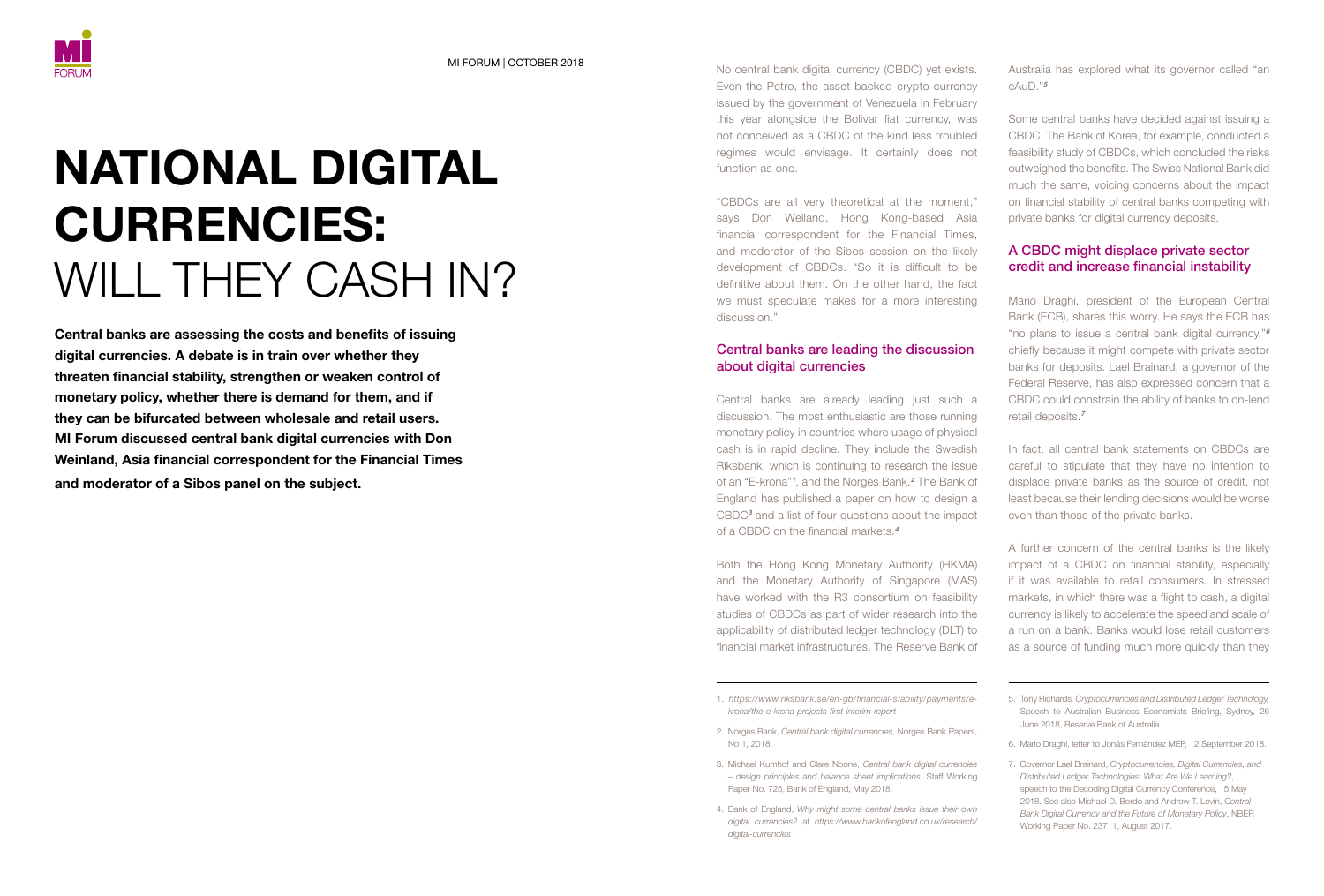# NATIONAL DIGITAL CURRENCIES: WILL THEY CASH IN?

Central banks are assessing the costs and benefits of issuing digital currencies. A debate is in train over whether they threaten financial stability, strengthen or weaken control of monetary policy, whether there is demand for them, and if they can be bifurcated between wholesale and retail users. MI Forum discussed central bank digital currencies with Don Weinland, Asia financial correspondent for the Financial Times and moderator of a Sibos panel on the subject.

No central bank digital currency (CBDC) yet exists. Even the Petro, the asset-backed crypto-currency issued by the government of Venezuela in February this year alongside the Bolivar fiat currency, was not conceived as a CBDC of the kind less troubled regimes would envisage. It certainly does not function as one. MI FORUM | OCTOBER 2018 **Australia has explored what its governor called** "an

> "CBDCs are all very theoretical at the moment," says Don Weiland, Hong Kong-based Asia financial correspondent for the Financial Times, and moderator of the Sibos session on the likely development of CBDCs. "So it is difficult to be definitive about them. On the other hand, the fact we must speculate makes for a more interesting discussion."

## Central banks are leading the discussion about digital currencies

Central banks are already leading just such a discussion. The most enthusiastic are those running monetary policy in countries where usage of physical cash is in rapid decline. They include the Swedish Riksbank, which is continuing to research the issue of an "E-krona"<sup>1</sup>, and the Norges Bank.<sup>2</sup> The Bank of England has published a paper on how to design a CBDC3 and a list of four questions about the impact of a CBDC on the financial markets.<sup>4</sup>

Both the Hong Kong Monetary Authority (HKMA) and the Monetary Authority of Singapore (MAS) have worked with the R3 consortium on feasibility studies of CBDCs as part of wider research into the applicability of distributed ledger technology (DLT) to financial market infrastructures. The Reserve Bank of

- 1. *[https://www.riksbank.se/en-gb/financial-stability/payments/e](https://www.riksbank.se/en-gb/financial-stability/payments/e-krona/the-e-krona-projects-first-interim-report/)[krona/the-e-krona-projects-first-interim-report](https://www.riksbank.se/en-gb/financial-stability/payments/e-krona/the-e-krona-projects-first-interim-report/)*
- 2. Norges Bank, *Central bank digital currencies*, Norges Bank Papers, No 1, 2018.
- 3. Michael Kumhof and Clare Noone, *Central bank digital currencies – design principles and balance sheet implications*, Staff Working Paper No. 725, Bank of England, May 2018.
- 4. Bank of England, *Why might some central banks issue their own digital currencies?* at *[https://www.bankofengland.co.uk/research/](https://www.bankofengland.co.uk/research/digital-currencies) [digital-currencies](https://www.bankofengland.co.uk/research/digital-currencies)*

 $AUD$ <sup>"5</sup>

Some central banks have decided against issuing a CBDC. The Bank of Korea, for example, conducted a feasibility study of CBDCs, which concluded the risks outweighed the benefits. The Swiss National Bank did much the same, voicing concerns about the impact on financial stability of central banks competing with private banks for digital currency deposits.

## A CBDC might displace private sector credit and increase financial instability

Mario Draghi, president of the European Central Bank (ECB), shares this worry. He says the ECB has "no plans to issue a central bank digital currency,"<sup>6</sup> chiefly because it might compete with private sector banks for deposits. Lael Brainard, a governor of the Federal Reserve, has also expressed concern that a CBDC could constrain the ability of banks to on-lend retail deposits.<sup>7</sup>

In fact, all central bank statements on CBDCs are careful to stipulate that they have no intention to displace private banks as the source of credit, not least because their lending decisions would be worse even than those of the private banks.

A further concern of the central banks is the likely impact of a CBDC on financial stability, especially if it was available to retail consumers. In stressed markets, in which there was a flight to cash, a digital currency is likely to accelerate the speed and scale of a run on a bank. Banks would lose retail customers as a source of funding much more quickly than they

- 5. Tony Richards*, Cryptocurrencies and Distributed Ledger Technology,* Speech to Australian Business Economists Briefing, Sydney, 26 June 2018, Reserve Bank of Australia.
- 6. Mario Draghi, letter to Jonás Fernández MEP, 12 September 2018.
- 7. Governor Lael Brainard, *Cryptocurrencies, Digital Currencies, and Distributed Ledger Technologies: What Are We Learning?*, speech to the Decoding Digital Currency Conference, 15 May 2018. See also Michael D. Bordo and Andrew T. Levin, C*entral Bank Digital Currencv and the Future of Monetary Policy*, NBER Working Paper No. 23711, August 2017.

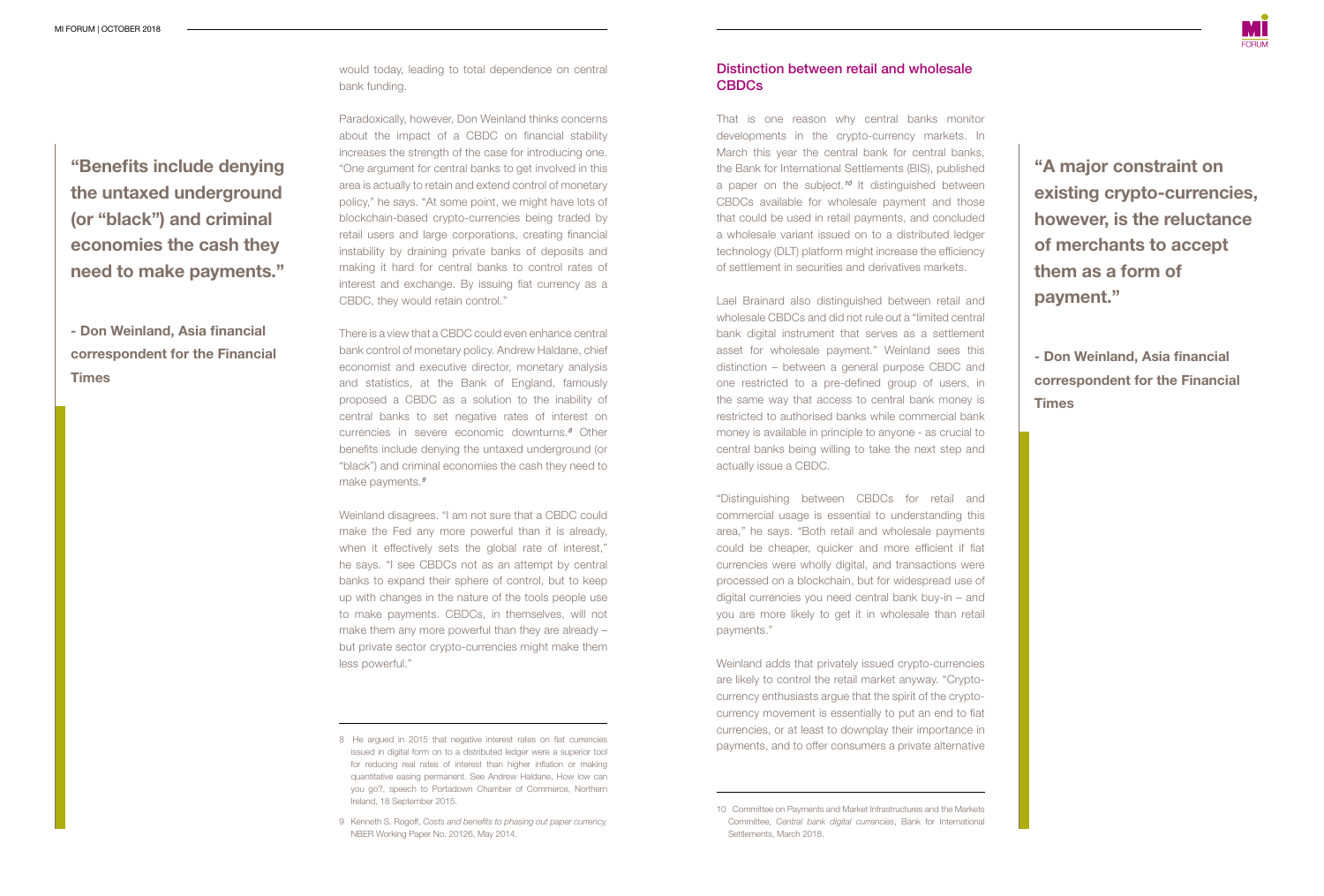''Benefits include denying the untaxed underground (or "black") and criminal economies the cash they need to make payments."

- Don Weinland, Asia financial correspondent for the Financial **Times** 

would today, leading to total dependence on central bank funding.

Paradoxically, however, Don Weinland thinks concerns about the impact of a CBDC on financial stability increases the strength of the case for introducing one. "One argument for central banks to get involved in this area is actually to retain and extend control of monetary policy," he says. "At some point, we might have lots of blockchain-based crypto-currencies being traded by retail users and large corporations, creating financial instability by draining private banks of deposits and making it hard for central banks to control rates of interest and exchange. By issuing fiat currency as a CBDC, they would retain control."

There is a view that a CBDC could even enhance central bank control of monetary policy. Andrew Haldane, chief economist and executive director, monetary analysis and statistics, at the Bank of England, famously proposed a CBDC as a solution to the inability of central banks to set negative rates of interest on currencies in severe economic downturns.<sup>8</sup> Other benefits include denying the untaxed underground (or "black") and criminal economies the cash they need to make payments.<sup>9</sup>

Weinland disagrees. "I am not sure that a CBDC could make the Fed any more powerful than it is already, when it effectively sets the global rate of interest," he says. "I see CBDCs not as an attempt by central banks to expand their sphere of control, but to keep up with changes in the nature of the tools people use to make payments. CBDCs, in themselves, will not make them any more powerful than they are already – but private sector crypto-currencies might make them less powerful."

## Distinction between retail and wholesale CBDCs

That is one reason why central banks monitor developments in the crypto-currency markets. In March this year the central bank for central banks, the Bank for International Settlements (BIS), published a paper on the subject.<sup>10</sup> It distinguished between CBDCs available for wholesale payment and those that could be used in retail payments, and concluded a wholesale variant issued on to a distributed ledger technology (DLT) platform might increase the efficiency of settlement in securities and derivatives markets.

Lael Brainard also distinguished between retail and wholesale CBDCs and did not rule out a "limited central bank digital instrument that serves as a settlement asset for wholesale payment." Weinland sees this distinction – between a general purpose CBDC and one restricted to a pre-defined group of users, in the same way that access to central bank money is restricted to authorised banks while commercial bank money is available in principle to anyone - as crucial to central banks being willing to take the next step and actually issue a CBDC.

"Distinguishing between CBDCs for retail and commercial usage is essential to understanding this area," he says. "Both retail and wholesale payments could be cheaper, quicker and more efficient if fiat currencies were wholly digital, and transactions were processed on a blockchain, but for widespread use of digital currencies you need central bank buy-in – and you are more likely to get it in wholesale than retail payments."

Weinland adds that privately issued crypto-currencies are likely to control the retail market anyway. "Cryptocurrency enthusiasts argue that the spirit of the cryptocurrency movement is essentially to put an end to fiat currencies, or at least to downplay their importance in payments, and to offer consumers a private alternative ''A major constraint on existing crypto-currencies, however, is the reluctance of merchants to accept them as a form of payment."

- Don Weinland, Asia financial correspondent for the Financial **Times** 

<sup>8</sup> He argued in 2015 that negative interest rates on fiat currencies issued in digital form on to a distributed ledger were a superior tool for reducing real rates of interest than higher inflation or making quantitative easing permanent. See Andrew Haldane, How low can you go?, speech to Portadown Chamber of Commerce, Northern Ireland, 18 September 2015.

<sup>9</sup> Kenneth S. Rogoff, *Costs and benefits to phasing out paper currency,*  NBER Working Paper No. 20126, May 2014.

<sup>10</sup> Committee on Payments and Market Infrastructures and the Markets Committee, *Central bank digital currencies*, Bank for International Settlements, March 2018.